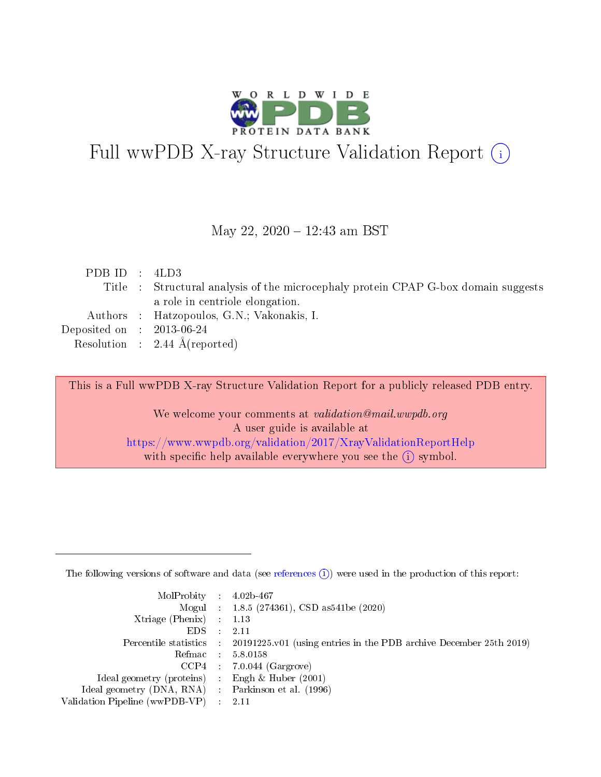

# Full wwPDB X-ray Structure Validation Report (i)

#### May 22, 2020 - 12:43 am BST

| PDB ID : $4LD3$             |                                                                                    |
|-----------------------------|------------------------------------------------------------------------------------|
|                             | Title : Structural analysis of the microcephaly protein CPAP G-box domain suggests |
|                             | a role in centriole elongation.                                                    |
|                             | Authors : Hatzopoulos, G.N.; Vakonakis, I.                                         |
| Deposited on : $2013-06-24$ |                                                                                    |
|                             | Resolution : $2.44 \text{ Å}$ (reported)                                           |

This is a Full wwPDB X-ray Structure Validation Report for a publicly released PDB entry.

We welcome your comments at validation@mail.wwpdb.org A user guide is available at <https://www.wwpdb.org/validation/2017/XrayValidationReportHelp> with specific help available everywhere you see the  $(i)$  symbol.

The following versions of software and data (see [references](https://www.wwpdb.org/validation/2017/XrayValidationReportHelp#references)  $(1)$ ) were used in the production of this report:

| $MolProbability$ : 4.02b-467                        |                                                                                            |
|-----------------------------------------------------|--------------------------------------------------------------------------------------------|
|                                                     | Mogul : 1.8.5 (274361), CSD as 541be (2020)                                                |
| Xtriage (Phenix) $: 1.13$                           |                                                                                            |
| EDS :                                               | -2.11                                                                                      |
|                                                     | Percentile statistics : 20191225.v01 (using entries in the PDB archive December 25th 2019) |
| Refmac 58.0158                                      |                                                                                            |
|                                                     | $CCP4$ 7.0.044 (Gargrove)                                                                  |
| Ideal geometry (proteins) : Engh $\&$ Huber (2001)  |                                                                                            |
| Ideal geometry (DNA, RNA) : Parkinson et al. (1996) |                                                                                            |
| Validation Pipeline (wwPDB-VP) : 2.11               |                                                                                            |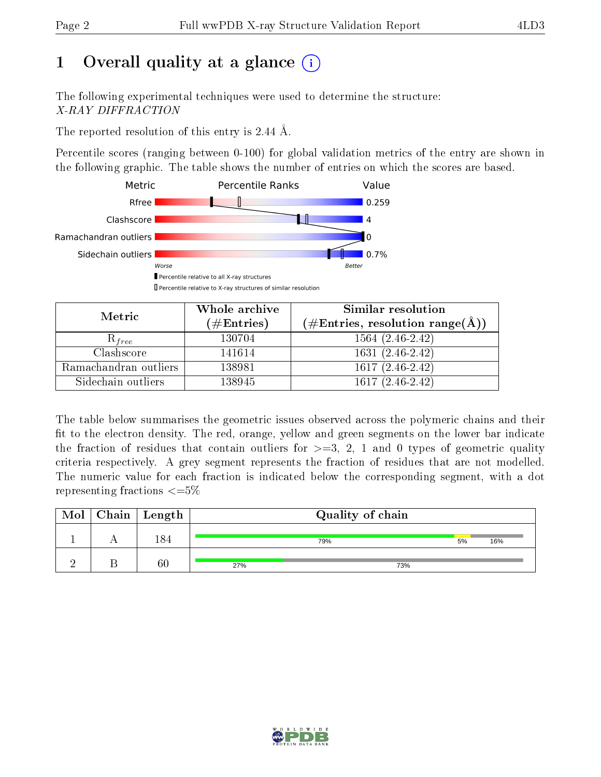## 1 [O](https://www.wwpdb.org/validation/2017/XrayValidationReportHelp#overall_quality)verall quality at a glance  $(i)$

The following experimental techniques were used to determine the structure: X-RAY DIFFRACTION

The reported resolution of this entry is 2.44 Å.

Percentile scores (ranging between 0-100) for global validation metrics of the entry are shown in the following graphic. The table shows the number of entries on which the scores are based.



| Metric                | Whole archive<br>$(\#\text{Entries})$ | Similar resolution<br>$(\#\text{Entries}, \text{resolution range}(\text{\AA}))$ |
|-----------------------|---------------------------------------|---------------------------------------------------------------------------------|
| $\kappa_{free}$       | 130704                                | $1564(2.46-2.42)$                                                               |
| Clashscore            | 141614                                | $1631(2.46-2.42)$                                                               |
| Ramachandran outliers | 138981                                | $1617(2.46-2.42)$                                                               |
| Sidechain outliers    | 138945                                | $1617(2.46-2.42)$                                                               |

The table below summarises the geometric issues observed across the polymeric chains and their fit to the electron density. The red, orange, yellow and green segments on the lower bar indicate the fraction of residues that contain outliers for  $>=3, 2, 1$  and 0 types of geometric quality criteria respectively. A grey segment represents the fraction of residues that are not modelled. The numeric value for each fraction is indicated below the corresponding segment, with a dot representing fractions  $\epsilon = 5\%$ 

| Mol | $Chain \  Length$ |     | Quality of chain |    |     |
|-----|-------------------|-----|------------------|----|-----|
|     | 184               |     | 79%              | 5% | 16% |
|     | 60                | 27% | 73%              |    |     |

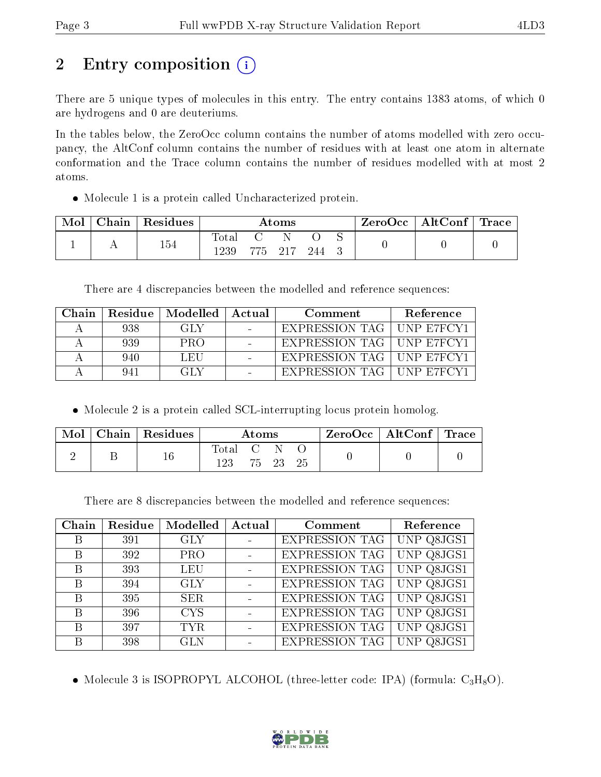## 2 Entry composition  $\left( \cdot \right)$

There are 5 unique types of molecules in this entry. The entry contains 1383 atoms, of which 0 are hydrogens and 0 are deuteriums.

In the tables below, the ZeroOcc column contains the number of atoms modelled with zero occupancy, the AltConf column contains the number of residues with at least one atom in alternate conformation and the Trace column contains the number of residues modelled with at most 2 atoms.

Molecule 1 is a protein called Uncharacterized protein.

| Mol | Chain   Residues | Atoms                           |         |  |     |  | $\text{ZeroOcc} \mid \text{AltConf} \mid \text{Trace}$ |  |
|-----|------------------|---------------------------------|---------|--|-----|--|--------------------------------------------------------|--|
|     | 154              | $\text{Total}$<br>$^{\circ}239$ | 775 217 |  | 244 |  |                                                        |  |

There are 4 discrepancies between the modelled and reference sequences:

| Chain | Residue | $\mid$ Modelled $\mid$ | ⊥ Actual<br>Comment |                                             | Reference |
|-------|---------|------------------------|---------------------|---------------------------------------------|-----------|
|       | 938     | GLY.                   |                     | EXPRESSION TAG   UNP E7FCY1                 |           |
|       | 939     | PRO                    |                     | EXPRESSION TAG   UNP E7FCY1                 |           |
|       | 940     | LEU                    |                     | $^\dagger$ EXPRESSION TAG $\mid$ UNP E7FCY1 |           |
|       | 941     | GL Y                   |                     | EXPRESSION TAG   UNP E7FCY1                 |           |

• Molecule 2 is a protein called SCL-interrupting locus protein homolog.

| Mol | Chain   Residues | Atoms            |  |          |  | $\text{ZeroOcc} \mid \text{AltConf} \mid \text{Trace}$ |  |
|-----|------------------|------------------|--|----------|--|--------------------------------------------------------|--|
|     |                  | Total C N<br>123 |  | 75 23 25 |  |                                                        |  |

There are 8 discrepancies between the modelled and reference sequences:

| Chain | Residue | Modelled   | Actual | Comment               | Reference  |
|-------|---------|------------|--------|-----------------------|------------|
| B     | 391     | <b>GLY</b> |        | EXPRESSION TAG        | UNP Q8JGS1 |
| B     | 392     | <b>PRO</b> |        | EXPRESSION TAG        | UNP Q8JGS1 |
| B     | 393     | <b>LEU</b> |        | EXPRESSION TAG        | UNP Q8JGS1 |
| B     | 394     | <b>GLY</b> |        | EXPRESSION TAG        | UNP Q8JGS1 |
| B     | 395     | <b>SER</b> |        | EXPRESSION TAG        | UNP Q8JGS1 |
| B     | 396     | <b>CYS</b> |        | <b>EXPRESSION TAG</b> | UNP Q8JGS1 |
| B     | 397     | <b>TYR</b> |        | <b>EXPRESSION TAG</b> | UNP Q8JGS1 |
| B     | 398     | <b>GLN</b> |        | <b>EXPRESSION TAG</b> | UNP Q8JGS1 |

• Molecule 3 is ISOPROPYL ALCOHOL (three-letter code: IPA) (formula:  $C_3H_8O$ ).

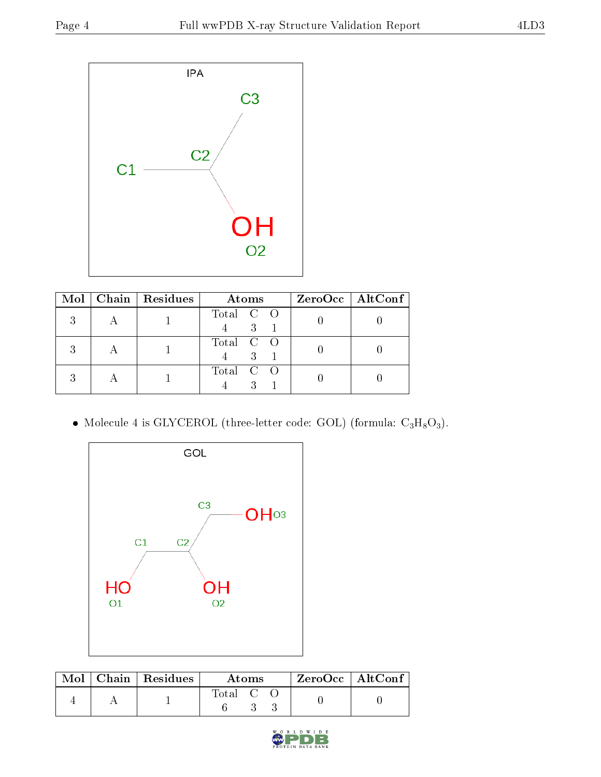

|  | Mol   Chain   Residues | <b>Atoms</b>   | $ZeroOcc \   \ AltConf \  $ |
|--|------------------------|----------------|-----------------------------|
|  |                        | Total C O<br>3 |                             |
|  |                        | Total C O<br>3 |                             |
|  |                        | Total C O      |                             |

• Molecule 4 is GLYCEROL (three-letter code: GOL) (formula:  $C_3H_8O_3$ ).



|  | $Mol$   Chain   Residues | Atoms                                                   |  |  | $ZeroOcc \mid AltConf$ |  |
|--|--------------------------|---------------------------------------------------------|--|--|------------------------|--|
|  |                          | $\begin{bmatrix} \text{Total} & \text{C} \end{bmatrix}$ |  |  |                        |  |

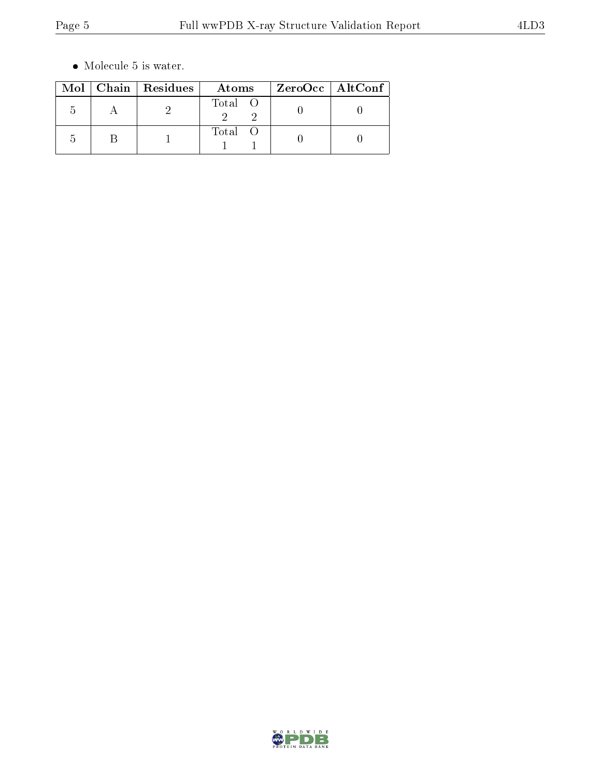$\bullet\,$  Molecule 5 is water.

|  | Mol   Chain   Residues | Atoms   | $ZeroOcc$   AltConf |
|--|------------------------|---------|---------------------|
|  |                        | Total O |                     |
|  |                        | Total O |                     |

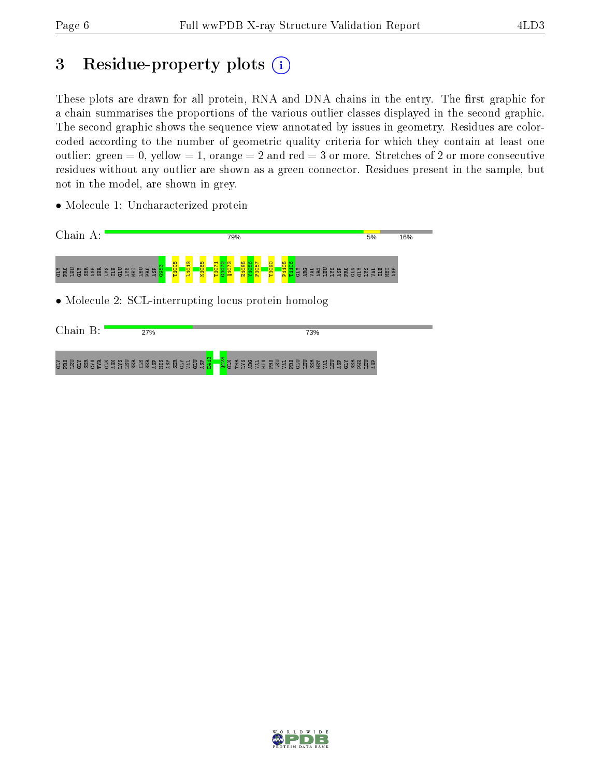## 3 Residue-property plots  $(i)$

These plots are drawn for all protein, RNA and DNA chains in the entry. The first graphic for a chain summarises the proportions of the various outlier classes displayed in the second graphic. The second graphic shows the sequence view annotated by issues in geometry. Residues are colorcoded according to the number of geometric quality criteria for which they contain at least one outlier: green  $= 0$ , yellow  $= 1$ , orange  $= 2$  and red  $= 3$  or more. Stretches of 2 or more consecutive residues without any outlier are shown as a green connector. Residues present in the sample, but not in the model, are shown in grey.

• Molecule 1: Uncharacterized protein

| Chain A:                                                         | 79%                                                                                                                                                                                                                                                              |  |  |  |  |  |
|------------------------------------------------------------------|------------------------------------------------------------------------------------------------------------------------------------------------------------------------------------------------------------------------------------------------------------------|--|--|--|--|--|
| ំ<br>ដូនមិន្ទិធ្ងន់មិនដូនដូ <mark>មិ</mark> មិនទំ <mark>ន</mark> | <mark>ិដ្ឋ ខ្</mark> នួន ៩ មិន ដូច មិន មិន ដូច ដូច មិន<br>ក្នុ <mark>ំដូ</mark> ន មិន មិន ដូច មិន ដូច ដូច មិន<br>T1071<br>G1072<br>Q1073<br><mark>1885</mark><br>198 <mark>6<br/>1987</mark><br>T1090<br>- <mark>흥-- 음-</mark><br>- <mark>음-- 음-</mark><br>K1065 |  |  |  |  |  |
|                                                                  | • Molecule 2: SCL-interrupting locus protein homolog                                                                                                                                                                                                             |  |  |  |  |  |
| Chain B:<br>27%                                                  | 73%                                                                                                                                                                                                                                                              |  |  |  |  |  |
| <u>ទី ទី មិននិង្គមិន មិនដូច ទី មិន ទី មិនដូច</u>                 | <mark>.8</mark> а не за за вела в во време во време во                                                                                                                                                                                                           |  |  |  |  |  |

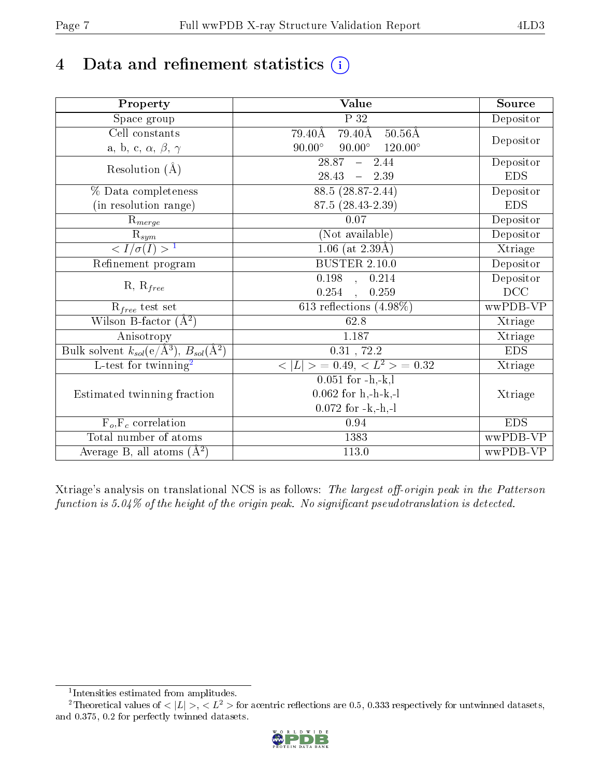## 4 Data and refinement statistics  $(i)$

| Property                                                         | <b>Value</b>                                      | Source     |  |
|------------------------------------------------------------------|---------------------------------------------------|------------|--|
| Space group                                                      | P 32                                              | Depositor  |  |
| Cell constants                                                   | $79.40\text{\AA}$<br>$50.56\text{\AA}$<br>79.40Å  |            |  |
| a, b, c, $\alpha$ , $\beta$ , $\gamma$                           | $90.00^\circ$<br>$90.00^{\circ}$ $120.00^{\circ}$ | Depositor  |  |
| Resolution $(\AA)$                                               | $\overline{28.87}$ - 2.44                         | Depositor  |  |
|                                                                  | $28.43 - 2.39$                                    | <b>EDS</b> |  |
| % Data completeness                                              | $88.5(28.87-2.44)$                                | Depositor  |  |
| (in resolution range)                                            | 87.5 (28.43-2.39)                                 | <b>EDS</b> |  |
| $R_{merge}$                                                      | 0.07                                              | Depositor  |  |
| $\mathbf{R}_{\underline{sym}}$                                   | (Not available)                                   | Depositor  |  |
| $\frac{1}{\sigma(I)} > 1$                                        | $1.06$ (at 2.39Å)                                 | Xtriage    |  |
| Refinement program                                               | <b>BUSTER 2.10.0</b>                              | Depositor  |  |
| $R, R_{free}$                                                    | $0.198$ , $0.214$                                 | Depositor  |  |
|                                                                  | $0.254$ , $0.259$                                 | DCC        |  |
| $R_{free}$ test set                                              | 613 reflections $(4.98\%)$                        | wwPDB-VP   |  |
| Wilson B-factor $(A^2)$                                          | 62.8                                              | Xtriage    |  |
| Anisotropy                                                       | 1.187                                             | Xtriage    |  |
| Bulk solvent $k_{sol}(\text{e}/\text{A}^3), B_{sol}(\text{A}^2)$ | $0.31$ , 72.2                                     | <b>EDS</b> |  |
| L-test for twinning <sup>2</sup>                                 | $< L >$ = 0.49, $< L2$ > = 0.32                   | Xtriage    |  |
|                                                                  | $0.051$ for $-h.-k, l$                            |            |  |
| Estimated twinning fraction                                      | $0.062$ for h,-h-k,-l                             | Xtriage    |  |
|                                                                  | $0.072$ for $-k,-h,-l$                            |            |  |
| $F_o, F_c$ correlation                                           | 0.94                                              | <b>EDS</b> |  |
| Total number of atoms                                            | 1383                                              | wwPDB-VP   |  |
| Average B, all atoms $(A^2)$                                     | 113.0                                             | wwPDB-VP   |  |

Xtriage's analysis on translational NCS is as follows: The largest off-origin peak in the Patterson function is  $5.04\%$  of the height of the origin peak. No significant pseudotranslation is detected.

<sup>&</sup>lt;sup>2</sup>Theoretical values of  $\langle |L| \rangle$ ,  $\langle L^2 \rangle$  for acentric reflections are 0.5, 0.333 respectively for untwinned datasets, and 0.375, 0.2 for perfectly twinned datasets.



<span id="page-6-1"></span><span id="page-6-0"></span><sup>1</sup> Intensities estimated from amplitudes.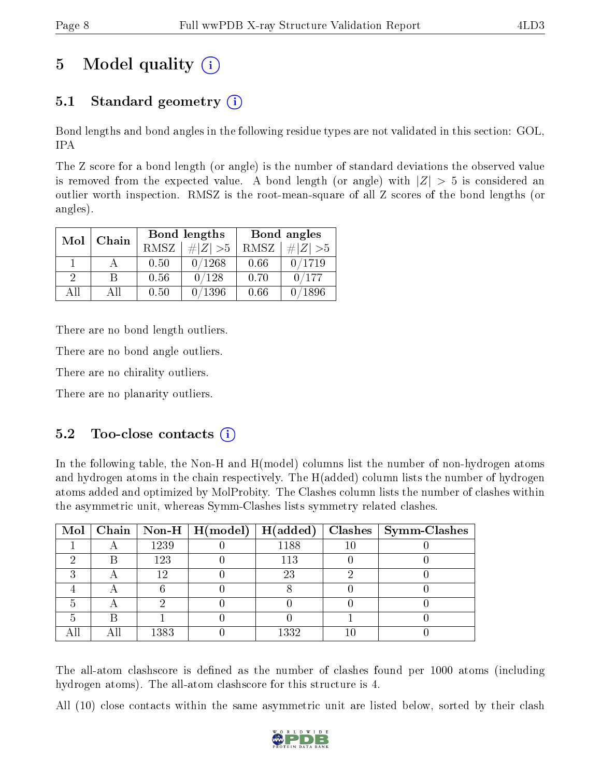## 5 Model quality  $(i)$

## 5.1 Standard geometry (i)

Bond lengths and bond angles in the following residue types are not validated in this section: GOL, IPA

The Z score for a bond length (or angle) is the number of standard deviations the observed value is removed from the expected value. A bond length (or angle) with  $|Z| > 5$  is considered an outlier worth inspection. RMSZ is the root-mean-square of all Z scores of the bond lengths (or angles).

| Chain<br>Mol  |     |      | <b>Bond lengths</b> | Bond angles |                 |  |
|---------------|-----|------|---------------------|-------------|-----------------|--|
|               |     | RMSZ | $\# Z  > 5$         | RMSZ        | $\# Z  > 5$     |  |
|               |     | 0.50 | 0/1268              | 0.66        | 0/1719          |  |
| $\mathcal{D}$ | R   | 0.56 | 0/128               | 0.70        | 0/177           |  |
| AΠ            | Аll | 0.50 | 0/1396              | 0.66        | $^{\prime}1896$ |  |

There are no bond length outliers.

There are no bond angle outliers.

There are no chirality outliers.

There are no planarity outliers.

### $5.2$  Too-close contacts  $(i)$

In the following table, the Non-H and H(model) columns list the number of non-hydrogen atoms and hydrogen atoms in the chain respectively. The H(added) column lists the number of hydrogen atoms added and optimized by MolProbity. The Clashes column lists the number of clashes within the asymmetric unit, whereas Symm-Clashes lists symmetry related clashes.

|   |      | Mol   Chain   Non-H   H(model)   H(added) |      |    | Clashes   Symm-Clashes |
|---|------|-------------------------------------------|------|----|------------------------|
|   | 1239 |                                           | 1188 | 10 |                        |
| В | 123  |                                           | 113  |    |                        |
|   | 12   |                                           | 23   |    |                        |
|   |      |                                           |      |    |                        |
|   |      |                                           |      |    |                        |
|   |      |                                           |      |    |                        |
|   | 1383 |                                           | 1332 |    |                        |

The all-atom clashscore is defined as the number of clashes found per 1000 atoms (including hydrogen atoms). The all-atom clashscore for this structure is 4.

All (10) close contacts within the same asymmetric unit are listed below, sorted by their clash

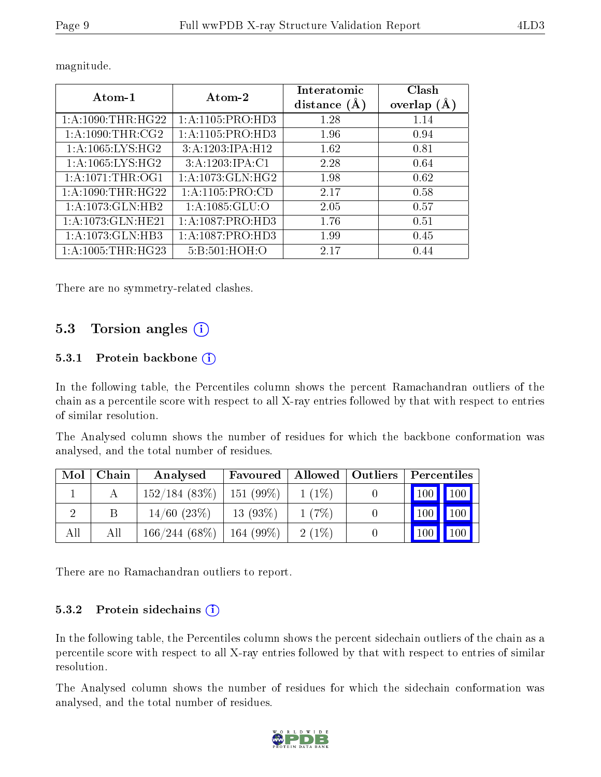| Atom-1                         | Atom-2               | Interatomic    | Clash         |
|--------------------------------|----------------------|----------------|---------------|
|                                |                      | distance $(A)$ | overlap $(A)$ |
| 1: A:1090:THR:HG22             | 1:A:1105:PRO:HD3     | 1.28           | 1.14          |
| 1: A: 1090: THR: CG2           | 1:A:1105:PRO:HD3     | 1.96           | 0.94          |
| $1: A:1065:LYS:H\overline{G2}$ | 3:A:1203:IPA:H12     | 1.62           | 0.81          |
| 1: A:1065:LYS:HG2              | 3:A:1203:IPA:C1      | 2.28           | 0.64          |
| $1: A: 1071: \text{THR}:OG1$   | 1: A: 1073: GLN: HG2 | 1.98           | 0.62          |
| 1: A: 1090: THR: HG22          | 1: A: 1105: PRO:CD   | 2.17           | 0.58          |
| 1:A:1073:GLN:HB2               | 1:A:1085:GLU:O       | 2.05           | 0.57          |
| 1: A: 1073: GLN: HE21          | 1: A: 1087: PRO: HD3 | 1.76           | 0.51          |
| 1:A:1073:GLN:HB3               | 1: A:1087: PRO:HD3   | 1.99           | 0.45          |
| 1: A:1005:THR:HG23             | 5:B:501:HOH:O        | 2.17           | 0.44          |

magnitude.

There are no symmetry-related clashes.

### 5.3 Torsion angles (i)

#### 5.3.1 Protein backbone (i)

In the following table, the Percentiles column shows the percent Ramachandran outliers of the chain as a percentile score with respect to all X-ray entries followed by that with respect to entries of similar resolution.

The Analysed column shows the number of residues for which the backbone conformation was analysed, and the total number of residues.

| Mol | Chain | Analysed         | Favoured     | Allowed   Outliers | Percentiles         |                    |
|-----|-------|------------------|--------------|--------------------|---------------------|--------------------|
|     |       | $152/184$ (83\%) | $151(99\%)$  | $1(1\%)$           | $\vert$ 100 $\vert$ | $\blacksquare$ 100 |
|     | В     | $14/60$ $(23%)$  | $13(93\%)$   | $1(7\%)$           | $\vert$ 100 $\vert$ | 100                |
| All | All   | $166/244(68\%)$  | 164 $(99\%)$ | $2(1\%)$           | 100                 | 100                |

There are no Ramachandran outliers to report.

#### 5.3.2 Protein sidechains  $(i)$

In the following table, the Percentiles column shows the percent sidechain outliers of the chain as a percentile score with respect to all X-ray entries followed by that with respect to entries of similar resolution.

The Analysed column shows the number of residues for which the sidechain conformation was analysed, and the total number of residues.

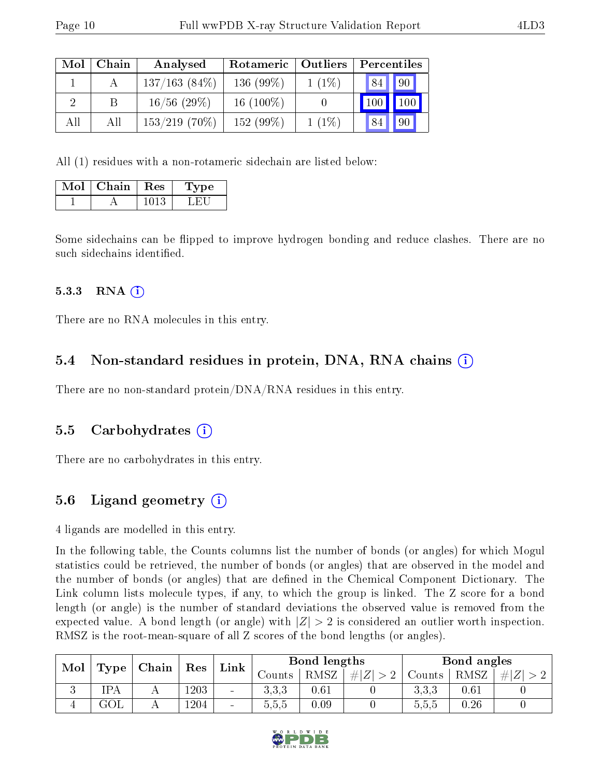| Mol | Chain | Analysed         | Rotameric   Outliers |          | Percentiles |             |
|-----|-------|------------------|----------------------|----------|-------------|-------------|
|     |       | $137/163(84\%)$  | 136 $(99\%)$         | $1(1\%)$ | 84          | $\sqrt{90}$ |
|     |       | $16/56$ (29\%)   | 16 $(100\%)$         |          | 100         | 100         |
| All | All   | $153/219$ (70\%) | 152 $(99\%)$         | $1(1\%)$ | 84          | 90          |

All (1) residues with a non-rotameric sidechain are listed below:

| Mol | Chain | <b>Res</b> | 'Type |
|-----|-------|------------|-------|
|     |       | 013        |       |

Some sidechains can be flipped to improve hydrogen bonding and reduce clashes. There are no such sidechains identified.

#### 5.3.3 RNA (1)

There are no RNA molecules in this entry.

### 5.4 Non-standard residues in protein, DNA, RNA chains (i)

There are no non-standard protein/DNA/RNA residues in this entry.

#### 5.5 Carbohydrates (i)

There are no carbohydrates in this entry.

## 5.6 Ligand geometry (i)

4 ligands are modelled in this entry.

In the following table, the Counts columns list the number of bonds (or angles) for which Mogul statistics could be retrieved, the number of bonds (or angles) that are observed in the model and the number of bonds (or angles) that are dened in the Chemical Component Dictionary. The Link column lists molecule types, if any, to which the group is linked. The Z score for a bond length (or angle) is the number of standard deviations the observed value is removed from the expected value. A bond length (or angle) with  $|Z| > 2$  is considered an outlier worth inspection. RMSZ is the root-mean-square of all Z scores of the bond lengths (or angles).

| Mol         | Type | Chain | Res      | Link                     |                              | Bond lengths |           |        | Bond angles |         |
|-------------|------|-------|----------|--------------------------|------------------------------|--------------|-----------|--------|-------------|---------|
|             |      |       |          |                          | $\sqrt{\rm \textit{counts}}$ | RMSZ         | $\pm  Z $ | Counts | RMSZ        | #<br> Z |
| ιJ          | IPA  |       | $1203\,$ | $\overline{\phantom{a}}$ | 3.3.3                        | $0.61\,$     |           | 3,3,3  | 0.61        |         |
| $\mathbf +$ | GOL  |       | 1204     | $\overline{\phantom{a}}$ | 0.5.5                        | 0.09         |           | 5,5,5  | 0.26        |         |

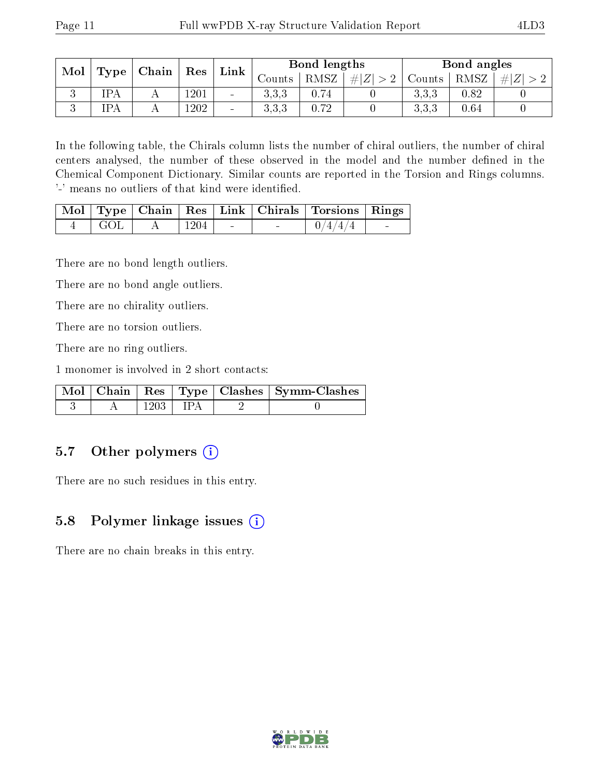| Mol | Type       | $\mid$ Chain $\mid$ | ${\rm Res}$ | Link                     |              | Bond lengths |             |        | Bond angles |      |
|-----|------------|---------------------|-------------|--------------------------|--------------|--------------|-------------|--------|-------------|------|
|     |            |                     |             |                          | Counts-      | RMSZ         | $\# Z  > 2$ | Counts | RMSZ        | H  Z |
|     | IPA        |                     | 1201        | $\qquad \qquad$          | こここ<br>0.0 O | 0.74         |             | 3.3.3  | 0.82        |      |
|     | <b>IPA</b> |                     | 1202        | $\overline{\phantom{a}}$ | こここ<br>ാ.ാ.ാ | 0.72         |             | 3.3.3  | 0.64        |      |

In the following table, the Chirals column lists the number of chiral outliers, the number of chiral centers analysed, the number of these observed in the model and the number defined in the Chemical Component Dictionary. Similar counts are reported in the Torsion and Rings columns. '-' means no outliers of that kind were identified.

|         |      |  | Mol   Type   Chain   Res   Link   Chirals   Torsions   Rings |                |
|---------|------|--|--------------------------------------------------------------|----------------|
| - L GOL | 1204 |  | 0/4/4/4                                                      | <b>Service</b> |

There are no bond length outliers.

There are no bond angle outliers.

There are no chirality outliers.

There are no torsion outliers.

There are no ring outliers.

1 monomer is involved in 2 short contacts:

|  |      |      | Mol   Chain   Res   Type   Clashes   Symm-Clashes ' |
|--|------|------|-----------------------------------------------------|
|  | 1203 | TP A |                                                     |

### 5.7 [O](https://www.wwpdb.org/validation/2017/XrayValidationReportHelp#nonstandard_residues_and_ligands)ther polymers (i)

There are no such residues in this entry.

#### 5.8 Polymer linkage issues (i)

There are no chain breaks in this entry.